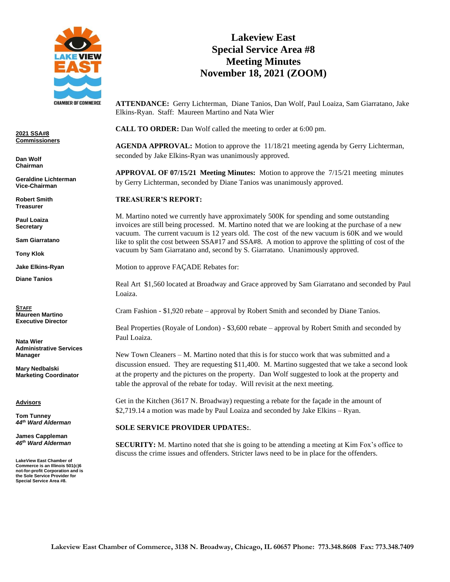

**2021 SSA#8 Commissioners**

**Dan Wolf Chairman**

**Geraldine Lichterman Vice-Chairman**

**Robert Smith Treasurer**

**Paul Loaiza Secretary**

**Sam Giarratano** 

**Tony Klok**

**Jake Elkins-Ryan**

**Diane Tanios**

**STAFF Maureen Martino Executive Director**

**Nata Wier Administrative Services Manager**

**Mary Nedbalski Marketing Coordinator**

**Advisors**

**Tom Tunney** *44th Ward Alderman*

**James Cappleman** *46th Ward Alderman*

**LakeView East Chamber of Commerce is an Illinois 501(c)6 not-for-profit Corporation and is the Sole Service Provider for Special Service Area #8.**

# **Lakeview East Special Service Area #8 Meeting Minutes November 18, 2021 (ZOOM)**

**ATTENDANCE:** Gerry Lichterman, Diane Tanios, Dan Wolf, Paul Loaiza, Sam Giarratano, Jake Elkins-Ryan. Staff: Maureen Martino and Nata Wier

**CALL TO ORDER:** Dan Wolf called the meeting to order at 6:00 pm.

**AGENDA APPROVAL:** Motion to approve the 11/18/21 meeting agenda by Gerry Lichterman, seconded by Jake Elkins-Ryan was unanimously approved.

**APPROVAL OF 07/15/21 Meeting Minutes:** Motion to approve the 7/15/21 meeting minutes by Gerry Lichterman, seconded by Diane Tanios was unanimously approved.

## **TREASURER'S REPORT:**

M. Martino noted we currently have approximately 500K for spending and some outstanding invoices are still being processed. M. Martino noted that we are looking at the purchase of a new vacuum. The current vacuum is 12 years old. The cost of the new vacuum is 60K and we would like to split the cost between SSA#17 and SSA#8. A motion to approve the splitting of cost of the vacuum by Sam Giarratano and, second by S. Giarratano. Unanimously approved.

Motion to approve FAÇADE Rebates for:

Real Art \$1,560 located at Broadway and Grace approved by Sam Giarratano and seconded by Paul Loaiza.

Cram Fashion - \$1,920 rebate – approval by Robert Smith and seconded by Diane Tanios.

Beal Properties (Royale of London) - \$3,600 rebate – approval by Robert Smith and seconded by Paul Loaiza.

New Town Cleaners – M. Martino noted that this is for stucco work that was submitted and a discussion ensued. They are requesting \$11,400. M. Martino suggested that we take a second look at the property and the pictures on the property. Dan Wolf suggested to look at the property and table the approval of the rebate for today. Will revisit at the next meeting.

Get in the Kitchen (3617 N. Broadway) requesting a rebate for the façade in the amount of \$2,719.14 a motion was made by Paul Loaiza and seconded by Jake Elkins – Ryan.

## **SOLE SERVICE PROVIDER UPDATES:**.

**SECURITY:** M. Martino noted that she is going to be attending a meeting at Kim Fox's office to discuss the crime issues and offenders. Stricter laws need to be in place for the offenders.